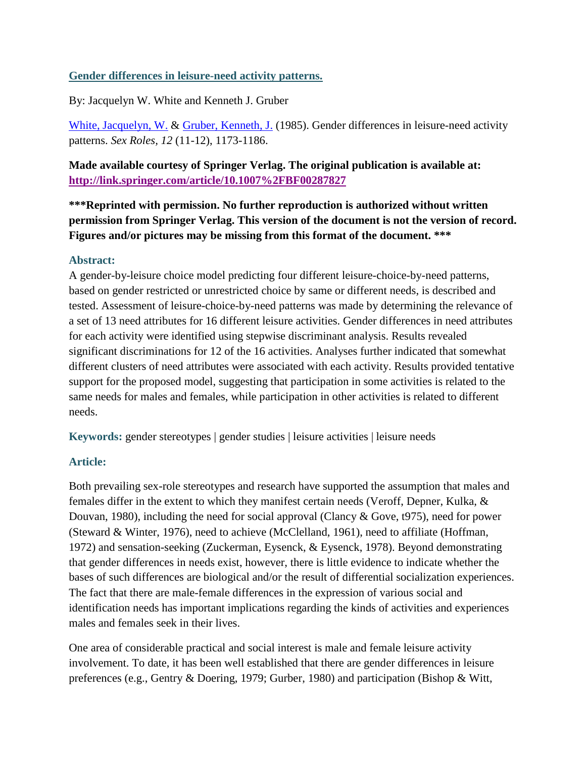## **Gender differences in leisure-need activity patterns.**

By: Jacquelyn W. White and Kenneth J. Gruber

[White, Jacquelyn, W.](http://libres.uncg.edu/ir/uncg/clist.aspx?id=475) & [Gruber, Kenneth, J.](http://libres.uncg.edu/ir/uncg/clist.aspx?id=1218) (1985). Gender differences in leisure-need activity patterns. *Sex Roles, 12* (11-12), 1173-1186.

**Made available courtesy of Springer Verlag. The original publication is available at: <http://link.springer.com/article/10.1007%2FBF00287827>**

**\*\*\*Reprinted with permission. No further reproduction is authorized without written permission from Springer Verlag. This version of the document is not the version of record. Figures and/or pictures may be missing from this format of the document. \*\*\***

#### **Abstract:**

A gender-by-leisure choice model predicting four different leisure-choice-by-need patterns, based on gender restricted or unrestricted choice by same or different needs, is described and tested. Assessment of leisure-choice-by-need patterns was made by determining the relevance of a set of 13 need attributes for 16 different leisure activities. Gender differences in need attributes for each activity were identified using stepwise discriminant analysis. Results revealed significant discriminations for 12 of the 16 activities. Analyses further indicated that somewhat different clusters of need attributes were associated with each activity. Results provided tentative support for the proposed model, suggesting that participation in some activities is related to the same needs for males and females, while participation in other activities is related to different needs.

**Keywords:** gender stereotypes | gender studies | leisure activities | leisure needs

### **Article:**

Both prevailing sex-role stereotypes and research have supported the assumption that males and females differ in the extent to which they manifest certain needs (Veroff, Depner, Kulka, & Douvan, 1980), including the need for social approval (Clancy & Gove, t975), need for power (Steward & Winter, 1976), need to achieve (McClelland, 1961), need to affiliate (Hoffman, 1972) and sensation-seeking (Zuckerman, Eysenck, & Eysenck, 1978). Beyond demonstrating that gender differences in needs exist, however, there is little evidence to indicate whether the bases of such differences are biological and/or the result of differential socialization experiences. The fact that there are male-female differences in the expression of various social and identification needs has important implications regarding the kinds of activities and experiences males and females seek in their lives.

One area of considerable practical and social interest is male and female leisure activity involvement. To date, it has been well established that there are gender differences in leisure preferences (e.g., Gentry & Doering, 1979; Gurber, 1980) and participation (Bishop & Witt,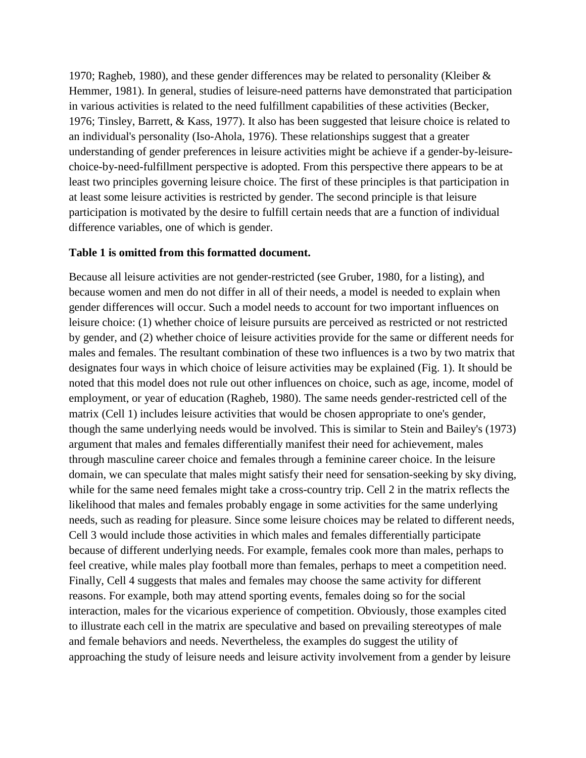1970; Ragheb, 1980), and these gender differences may be related to personality (Kleiber & Hemmer, 1981). In general, studies of leisure-need patterns have demonstrated that participation in various activities is related to the need fulfillment capabilities of these activities (Becker, 1976; Tinsley, Barrett, & Kass, 1977). It also has been suggested that leisure choice is related to an individual's personality (Iso-Ahola, 1976). These relationships suggest that a greater understanding of gender preferences in leisure activities might be achieve if a gender-by-leisurechoice-by-need-fulfillment perspective is adopted. From this perspective there appears to be at least two principles governing leisure choice. The first of these principles is that participation in at least some leisure activities is restricted by gender. The second principle is that leisure participation is motivated by the desire to fulfill certain needs that are a function of individual difference variables, one of which is gender.

#### **Table 1 is omitted from this formatted document.**

Because all leisure activities are not gender-restricted (see Gruber, 1980, for a listing), and because women and men do not differ in all of their needs, a model is needed to explain when gender differences will occur. Such a model needs to account for two important influences on leisure choice: (1) whether choice of leisure pursuits are perceived as restricted or not restricted by gender, and (2) whether choice of leisure activities provide for the same or different needs for males and females. The resultant combination of these two influences is a two by two matrix that designates four ways in which choice of leisure activities may be explained (Fig. 1). It should be noted that this model does not rule out other influences on choice, such as age, income, model of employment, or year of education (Ragheb, 1980). The same needs gender-restricted cell of the matrix (Cell 1) includes leisure activities that would be chosen appropriate to one's gender, though the same underlying needs would be involved. This is similar to Stein and Bailey's (1973) argument that males and females differentially manifest their need for achievement, males through masculine career choice and females through a feminine career choice. In the leisure domain, we can speculate that males might satisfy their need for sensation-seeking by sky diving, while for the same need females might take a cross-country trip. Cell 2 in the matrix reflects the likelihood that males and females probably engage in some activities for the same underlying needs, such as reading for pleasure. Since some leisure choices may be related to different needs, Cell 3 would include those activities in which males and females differentially participate because of different underlying needs. For example, females cook more than males, perhaps to feel creative, while males play football more than females, perhaps to meet a competition need. Finally, Cell 4 suggests that males and females may choose the same activity for different reasons. For example, both may attend sporting events, females doing so for the social interaction, males for the vicarious experience of competition. Obviously, those examples cited to illustrate each cell in the matrix are speculative and based on prevailing stereotypes of male and female behaviors and needs. Nevertheless, the examples do suggest the utility of approaching the study of leisure needs and leisure activity involvement from a gender by leisure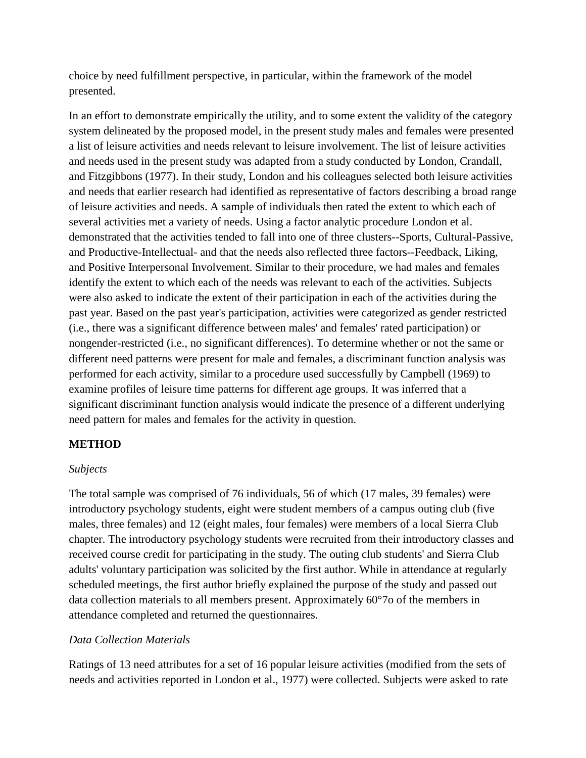choice by need fulfillment perspective, in particular, within the framework of the model presented.

In an effort to demonstrate empirically the utility, and to some extent the validity of the category system delineated by the proposed model, in the present study males and females were presented a list of leisure activities and needs relevant to leisure involvement. The list of leisure activities and needs used in the present study was adapted from a study conducted by London, Crandall, and Fitzgibbons (1977). In their study, London and his colleagues selected both leisure activities and needs that earlier research had identified as representative of factors describing a broad range of leisure activities and needs. A sample of individuals then rated the extent to which each of several activities met a variety of needs. Using a factor analytic procedure London et al. demonstrated that the activities tended to fall into one of three clusters--Sports, Cultural-Passive, and Productive-Intellectual- and that the needs also reflected three factors--Feedback, Liking, and Positive Interpersonal Involvement. Similar to their procedure, we had males and females identify the extent to which each of the needs was relevant to each of the activities. Subjects were also asked to indicate the extent of their participation in each of the activities during the past year. Based on the past year's participation, activities were categorized as gender restricted (i.e., there was a significant difference between males' and females' rated participation) or nongender-restricted (i.e., no significant differences). To determine whether or not the same or different need patterns were present for male and females, a discriminant function analysis was performed for each activity, similar to a procedure used successfully by Campbell (1969) to examine profiles of leisure time patterns for different age groups. It was inferred that a significant discriminant function analysis would indicate the presence of a different underlying need pattern for males and females for the activity in question.

# **METHOD**

### *Subjects*

The total sample was comprised of 76 individuals, 56 of which (17 males, 39 females) were introductory psychology students, eight were student members of a campus outing club (five males, three females) and 12 (eight males, four females) were members of a local Sierra Club chapter. The introductory psychology students were recruited from their introductory classes and received course credit for participating in the study. The outing club students' and Sierra Club adults' voluntary participation was solicited by the first author. While in attendance at regularly scheduled meetings, the first author briefly explained the purpose of the study and passed out data collection materials to all members present. Approximately 60°7o of the members in attendance completed and returned the questionnaires.

### *Data Collection Materials*

Ratings of 13 need attributes for a set of 16 popular leisure activities (modified from the sets of needs and activities reported in London et al., 1977) were collected. Subjects were asked to rate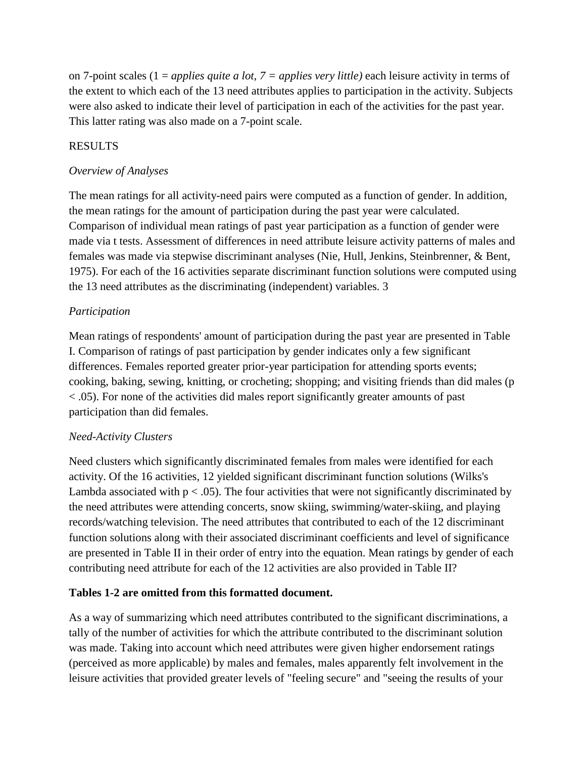on 7-point scales (1 = *applies quite a lot, 7 = applies very little)* each leisure activity in terms of the extent to which each of the 13 need attributes applies to participation in the activity. Subjects were also asked to indicate their level of participation in each of the activities for the past year. This latter rating was also made on a 7-point scale.

# RESULTS

## *Overview of Analyses*

The mean ratings for all activity-need pairs were computed as a function of gender. In addition, the mean ratings for the amount of participation during the past year were calculated. Comparison of individual mean ratings of past year participation as a function of gender were made via t tests. Assessment of differences in need attribute leisure activity patterns of males and females was made via stepwise discriminant analyses (Nie, Hull, Jenkins, Steinbrenner, & Bent, 1975). For each of the 16 activities separate discriminant function solutions were computed using the 13 need attributes as the discriminating (independent) variables. 3

## *Participation*

Mean ratings of respondents' amount of participation during the past year are presented in Table I. Comparison of ratings of past participation by gender indicates only a few significant differences. Females reported greater prior-year participation for attending sports events; cooking, baking, sewing, knitting, or crocheting; shopping; and visiting friends than did males (p < .05). For none of the activities did males report significantly greater amounts of past participation than did females.

# *Need-Activity Clusters*

Need clusters which significantly discriminated females from males were identified for each activity. Of the 16 activities, 12 yielded significant discriminant function solutions (Wilks's Lambda associated with  $p < .05$ ). The four activities that were not significantly discriminated by the need attributes were attending concerts, snow skiing, swimming/water-skiing, and playing records/watching television. The need attributes that contributed to each of the 12 discriminant function solutions along with their associated discriminant coefficients and level of significance are presented in Table II in their order of entry into the equation. Mean ratings by gender of each contributing need attribute for each of the 12 activities are also provided in Table II?

### **Tables 1-2 are omitted from this formatted document.**

As a way of summarizing which need attributes contributed to the significant discriminations, a tally of the number of activities for which the attribute contributed to the discriminant solution was made. Taking into account which need attributes were given higher endorsement ratings (perceived as more applicable) by males and females, males apparently felt involvement in the leisure activities that provided greater levels of "feeling secure" and "seeing the results of your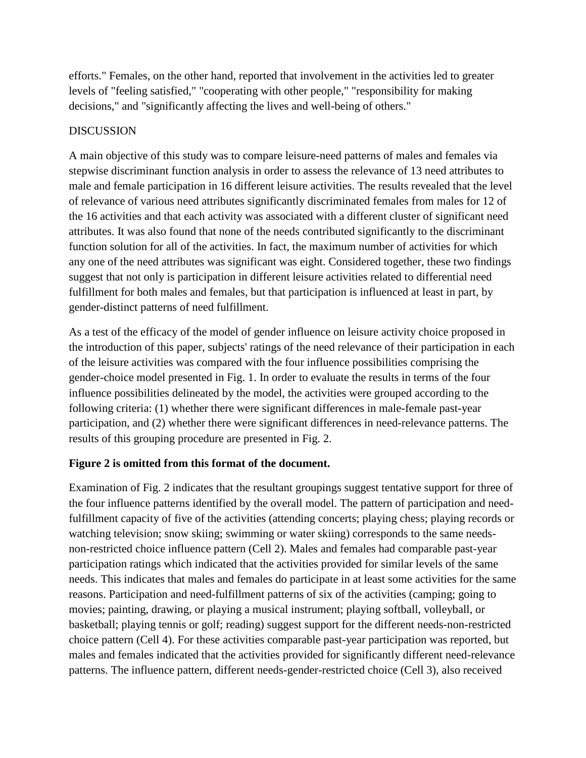efforts." Females, on the other hand, reported that involvement in the activities led to greater levels of "feeling satisfied," "cooperating with other people," "responsibility for making decisions," and "significantly affecting the lives and well-being of others."

# **DISCUSSION**

A main objective of this study was to compare leisure-need patterns of males and females via stepwise discriminant function analysis in order to assess the relevance of 13 need attributes to male and female participation in 16 different leisure activities. The results revealed that the level of relevance of various need attributes significantly discriminated females from males for 12 of the 16 activities and that each activity was associated with a different cluster of significant need attributes. It was also found that none of the needs contributed significantly to the discriminant function solution for all of the activities. In fact, the maximum number of activities for which any one of the need attributes was significant was eight. Considered together, these two findings suggest that not only is participation in different leisure activities related to differential need fulfillment for both males and females, but that participation is influenced at least in part, by gender-distinct patterns of need fulfillment.

As a test of the efficacy of the model of gender influence on leisure activity choice proposed in the introduction of this paper, subjects' ratings of the need relevance of their participation in each of the leisure activities was compared with the four influence possibilities comprising the gender-choice model presented in Fig. 1. In order to evaluate the results in terms of the four influence possibilities delineated by the model, the activities were grouped according to the following criteria: (1) whether there were significant differences in male-female past-year participation, and (2) whether there were significant differences in need-relevance patterns. The results of this grouping procedure are presented in Fig. 2.

### **Figure 2 is omitted from this format of the document.**

Examination of Fig. 2 indicates that the resultant groupings suggest tentative support for three of the four influence patterns identified by the overall model. The pattern of participation and needfulfillment capacity of five of the activities (attending concerts; playing chess; playing records or watching television; snow skiing; swimming or water skiing) corresponds to the same needsnon-restricted choice influence pattern (Cell 2). Males and females had comparable past-year participation ratings which indicated that the activities provided for similar levels of the same needs. This indicates that males and females do participate in at least some activities for the same reasons. Participation and need-fulfillment patterns of six of the activities (camping; going to movies; painting, drawing, or playing a musical instrument; playing softball, volleyball, or basketball; playing tennis or golf; reading) suggest support for the different needs-non-restricted choice pattern (Cell 4). For these activities comparable past-year participation was reported, but males and females indicated that the activities provided for significantly different need-relevance patterns. The influence pattern, different needs-gender-restricted choice (Cell 3), also received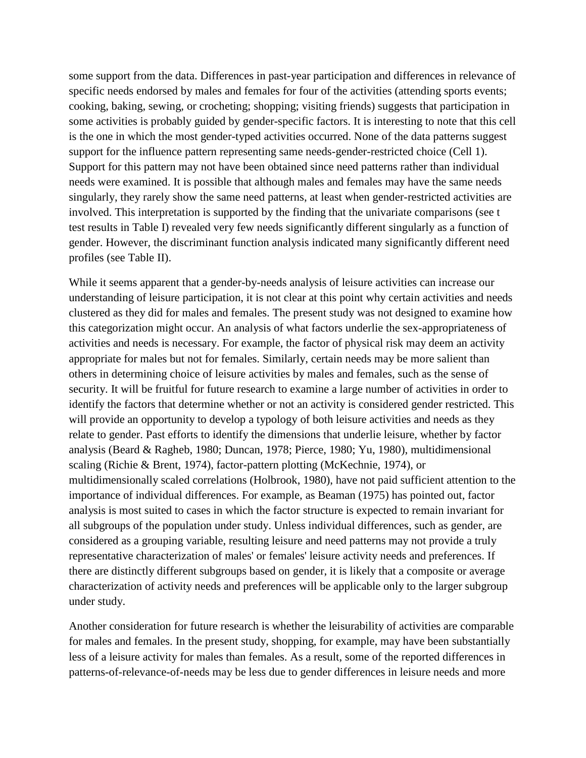some support from the data. Differences in past-year participation and differences in relevance of specific needs endorsed by males and females for four of the activities (attending sports events; cooking, baking, sewing, or crocheting; shopping; visiting friends) suggests that participation in some activities is probably guided by gender-specific factors. It is interesting to note that this cell is the one in which the most gender-typed activities occurred. None of the data patterns suggest support for the influence pattern representing same needs-gender-restricted choice (Cell 1). Support for this pattern may not have been obtained since need patterns rather than individual needs were examined. It is possible that although males and females may have the same needs singularly, they rarely show the same need patterns, at least when gender-restricted activities are involved. This interpretation is supported by the finding that the univariate comparisons (see t test results in Table I) revealed very few needs significantly different singularly as a function of gender. However, the discriminant function analysis indicated many significantly different need profiles (see Table II).

While it seems apparent that a gender-by-needs analysis of leisure activities can increase our understanding of leisure participation, it is not clear at this point why certain activities and needs clustered as they did for males and females. The present study was not designed to examine how this categorization might occur. An analysis of what factors underlie the sex-appropriateness of activities and needs is necessary. For example, the factor of physical risk may deem an activity appropriate for males but not for females. Similarly, certain needs may be more salient than others in determining choice of leisure activities by males and females, such as the sense of security. It will be fruitful for future research to examine a large number of activities in order to identify the factors that determine whether or not an activity is considered gender restricted. This will provide an opportunity to develop a typology of both leisure activities and needs as they relate to gender. Past efforts to identify the dimensions that underlie leisure, whether by factor analysis (Beard & Ragheb, 1980; Duncan, 1978; Pierce, 1980; Yu, 1980), multidimensional scaling (Richie & Brent, 1974), factor-pattern plotting (McKechnie, 1974), or multidimensionally scaled correlations (Holbrook, 1980), have not paid sufficient attention to the importance of individual differences. For example, as Beaman (1975) has pointed out, factor analysis is most suited to cases in which the factor structure is expected to remain invariant for all subgroups of the population under study. Unless individual differences, such as gender, are considered as a grouping variable, resulting leisure and need patterns may not provide a truly representative characterization of males' or females' leisure activity needs and preferences. If there are distinctly different subgroups based on gender, it is likely that a composite or average characterization of activity needs and preferences will be applicable only to the larger subgroup under study.

Another consideration for future research is whether the leisurability of activities are comparable for males and females. In the present study, shopping, for example, may have been substantially less of a leisure activity for males than females. As a result, some of the reported differences in patterns-of-relevance-of-needs may be less due to gender differences in leisure needs and more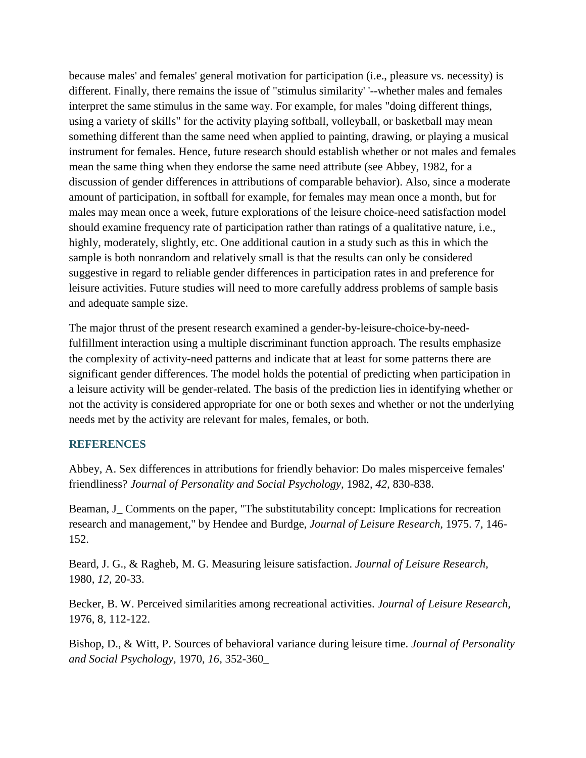because males' and females' general motivation for participation (i.e., pleasure vs. necessity) is different. Finally, there remains the issue of "stimulus similarity' '--whether males and females interpret the same stimulus in the same way. For example, for males "doing different things, using a variety of skills" for the activity playing softball, volleyball, or basketball may mean something different than the same need when applied to painting, drawing, or playing a musical instrument for females. Hence, future research should establish whether or not males and females mean the same thing when they endorse the same need attribute (see Abbey, 1982, for a discussion of gender differences in attributions of comparable behavior). Also, since a moderate amount of participation, in softball for example, for females may mean once a month, but for males may mean once a week, future explorations of the leisure choice-need satisfaction model should examine frequency rate of participation rather than ratings of a qualitative nature, i.e., highly, moderately, slightly, etc. One additional caution in a study such as this in which the sample is both nonrandom and relatively small is that the results can only be considered suggestive in regard to reliable gender differences in participation rates in and preference for leisure activities. Future studies will need to more carefully address problems of sample basis and adequate sample size.

The major thrust of the present research examined a gender-by-leisure-choice-by-needfulfillment interaction using a multiple discriminant function approach. The results emphasize the complexity of activity-need patterns and indicate that at least for some patterns there are significant gender differences. The model holds the potential of predicting when participation in a leisure activity will be gender-related. The basis of the prediction lies in identifying whether or not the activity is considered appropriate for one or both sexes and whether or not the underlying needs met by the activity are relevant for males, females, or both.

#### **REFERENCES**

Abbey, A. Sex differences in attributions for friendly behavior: Do males misperceive females' friendliness? *Journal of Personality and Social Psychology,* 1982, *42,* 830-838.

Beaman, J\_ Comments on the paper, "The substitutability concept: Implications for recreation research and management," by Hendee and Burdge, *Journal of Leisure Research,* 1975. 7, 146- 152.

Beard, J. G., & Ragheb, M. G. Measuring leisure satisfaction. *Journal of Leisure Research,* 1980, *12,* 20-33.

Becker, B. W. Perceived similarities among recreational activities. *Journal of Leisure Research,* 1976, 8, 112-122.

Bishop, D., & Witt, P. Sources of behavioral variance during leisure time. *Journal of Personality and Social Psychology,* 1970, *16,* 352-360\_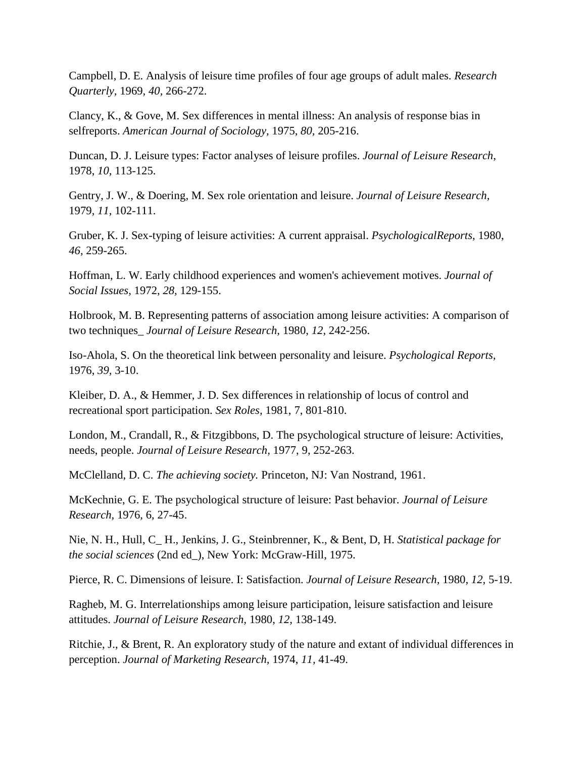Campbell, D. E. Analysis of leisure time profiles of four age groups of adult males. *Research Quarterly,* 1969, *40,* 266-272.

Clancy, K., & Gove, M. Sex differences in mental illness: An analysis of response bias in selfreports. *American Journal of Sociology,* 1975, *80,* 205-216.

Duncan, D. J. Leisure types: Factor analyses of leisure profiles. *Journal of Leisure Research,* 1978, *10,* 113-125.

Gentry, J. W., & Doering, M. Sex role orientation and leisure. *Journal of Leisure Research,* 1979, *11,* 102-111.

Gruber, K. J. Sex-typing of leisure activities: A current appraisal. *PsychologicalReports,* 1980, *46,* 259-265.

Hoffman, L. W. Early childhood experiences and women's achievement motives. *Journal of Social Issues,* 1972, *28,* 129-155.

Holbrook, M. B. Representing patterns of association among leisure activities: A comparison of two techniques\_ *Journal of Leisure Research,* 1980, *12,* 242-256.

Iso-Ahola, S. On the theoretical link between personality and leisure. *Psychological Reports,* 1976, *39,* 3-10.

Kleiber, D. A., & Hemmer, J. D. Sex differences in relationship of locus of control and recreational sport participation. *Sex Roles,* 1981, 7, 801-810.

London, M., Crandall, R., & Fitzgibbons, D. The psychological structure of leisure: Activities, needs, people. *Journal of Leisure Research,* 1977, 9, 252-263.

McClelland, D. C. *The achieving society.* Princeton, NJ: Van Nostrand, 1961.

McKechnie, G. E. The psychological structure of leisure: Past behavior. *Journal of Leisure Research,* 1976, 6, 27-45.

Nie, N. H., Hull, C\_ H., Jenkins, J. G., Steinbrenner, K., & Bent, D, H. *Statistical package for the social sciences* (2nd ed\_), New York: McGraw-Hill, 1975.

Pierce, R. C. Dimensions of leisure. I: Satisfaction. *Journal of Leisure Research,* 1980, *12,* 5-19.

Ragheb, M. G. Interrelationships among leisure participation, leisure satisfaction and leisure attitudes. *Journal of Leisure Research,* 1980, *12,* 138-149.

Ritchie, J., & Brent, R. An exploratory study of the nature and extant of individual differences in perception. *Journal of Marketing Research,* 1974, *11,* 41-49.